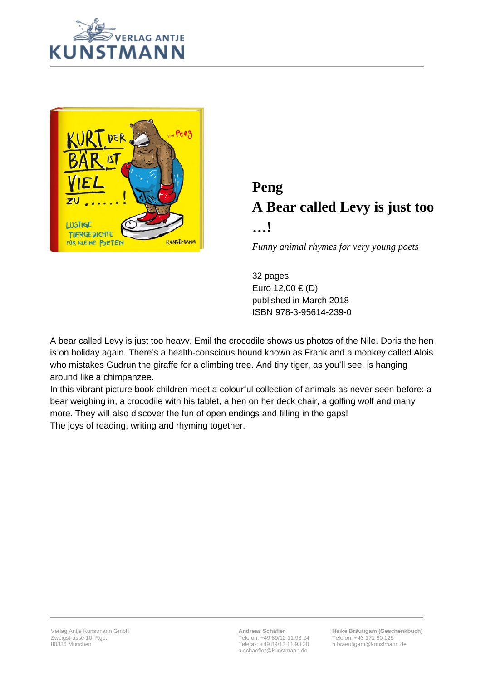



## **Peng A Bear called Levy is just too …!**

*Funny animal rhymes for very young poets*

32 pages Euro 12,00 € (D) published in March 2018 ISBN 978-3-95614-239-0

A bear called Levy is just too heavy. Emil the crocodile shows us photos of the Nile. Doris the hen is on holiday again. There's a health-conscious hound known as Frank and a monkey called Alois who mistakes Gudrun the giraffe for a climbing tree. And tiny tiger, as you'll see, is hanging around like a chimpanzee.

In this vibrant picture book children meet a colourful collection of animals as never seen before: a bear weighing in, a crocodile with his tablet, a hen on her deck chair, a golfing wolf and many more. They will also discover the fun of open endings and filling in the gaps! The joys of reading, writing and rhyming together.